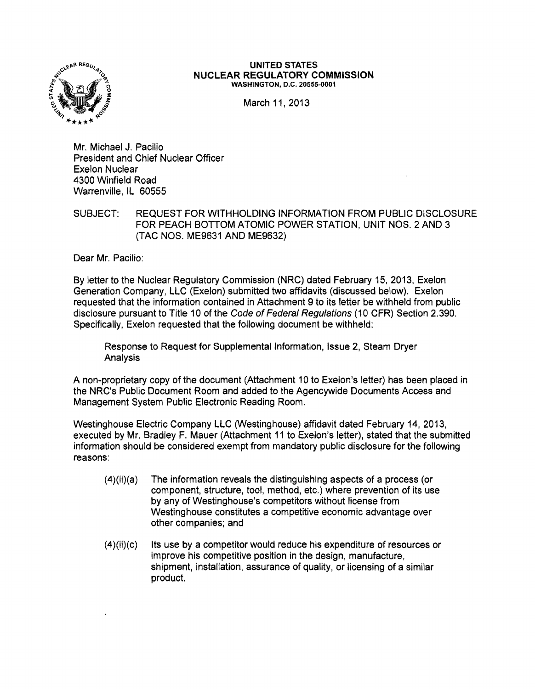

## UNITED STATES **NUCLEAR REGULATORY COMMISSION**  WASHINGTON, D.C. 20555-0001

March 11, 2013

Mr. Michael J. Pacilio President and Chief Nuclear Officer Exelon Nuclear 4300 Winfield Road Warrenville, IL 60555

SUBJECT: REQUEST FOR WITHHOLDING INFORMATION FROM PUBLIC DISCLOSURE FOR PEACH BOTTOM ATOMIC POWER STATION, UNIT NOS. 2 AND 3 (TAC NOS. ME9631 AND ME9632)

Dear Mr. Pacilio:

By letter to the Nuclear Regulatory Commission (NRC) dated February 15, 2013, Exelon Generation Company, LLC (Exelon) submitted two affidavits (discussed below). Exelon requested that the information contained in Attachment 9 to its letter be withheld from public disclosure pursuant to Title 10 of the Code of Federal Regulations (10 CFR) Section 2.390. Specifically, Exelon requested that the following document be withheld:

Response to Request for Supplemental Information, Issue 2, Steam Dryer Analysis

A non-proprietary copy of the document (Attachment 10 to Exelon's letter) has been placed in the NRC's Public Document Room and added to the Agencywide Documents Access and Management System Public Electronic Reading Room.

Westinghouse Electric Company LLC (Westinghouse) affidavit dated February 14, 2013, executed by Mr. Bradley F. Mauer (Attachment 11 to Exelon's letter), stated that the submitted information should be considered exempt from mandatory public disclosure for the following reasons:

- $(4)(ii)(a)$  The information reveals the distinguishing aspects of a process (or component, structure, tool, method, etc.) where prevention of its use by any of Westinghouse's competitors without license from Westinghouse constitutes a competitive economic advantage over other companies; and
- $(4)(ii)(c)$  Its use by a competitor would reduce his expenditure of resources or improve his competitive position in the design, manufacture, shipment, installation, assurance of quality, or licensing of a similar product.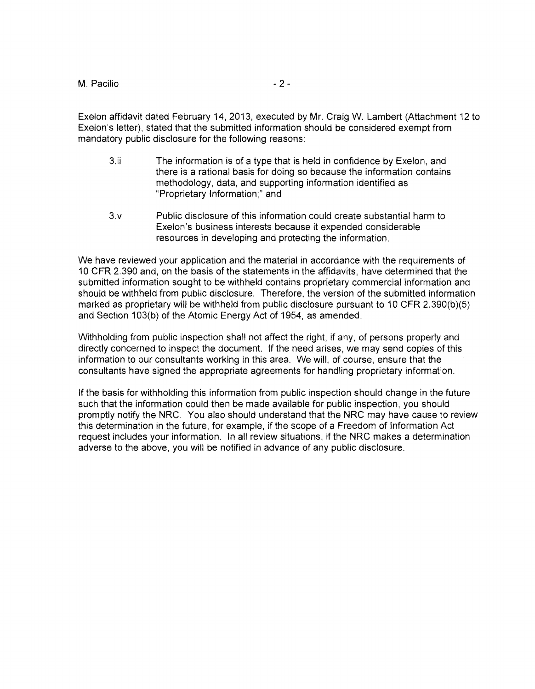## M. Pacilio and the contract of the contract of the contract of the contract of the contract of the contract of the contract of the contract of the contract of the contract of the contract of the contract of the contract of

Exelon affidavit dated February 14, 2013, executed by Mr. Craig W. Lambert (Attachment 12 to Exelon's letter), stated that the submitted information should be considered exempt from mandatory public disclosure for the following reasons:

- 3.ii The information is of a type that is held in confidence by Exelon, and there is a rational basis for doing so because the information contains methodology, data, and supporting information identified as "Proprietary Information;" and
- 3.v Public disclosure of this information could create substantial harm to Exelon's business interests because it expended considerable resources in developing and protecting the information.

We have reviewed your application and the material in accordance with the requirements of 10 CFR 2.390 and, on the basis of the statements in the affidavits, have determined that the submitted information sought to be withheld contains proprietary commercial information and should be withheld from public disclosure. Therefore, the version of the submitted information marked as proprietary will be withheld from public disclosure pursuant to 10 CFR 2.390(b)(5) and Section 103(b) of the Atomic Energy Act of 1954, as amended.

Withholding from public inspection shall not affect the right, if any, of persons properly and directly concerned to inspect the document. If the need arises, we may send copies of this information to our consultants working in this area. We will, of course, ensure that the consultants have signed the appropriate agreements for handling proprietary information.

If the basis for withholding this information from public inspection should change in the future such that the information could then be made available for public inspection, you should promptly notify the NRC. You also should understand that the NRC may have cause to review this determination in the future, for example, if the scope of a Freedom of Information Act request includes your information. In all review situations, if the NRC makes a determination adverse to the above, you will be notified in advance of any public disclosure.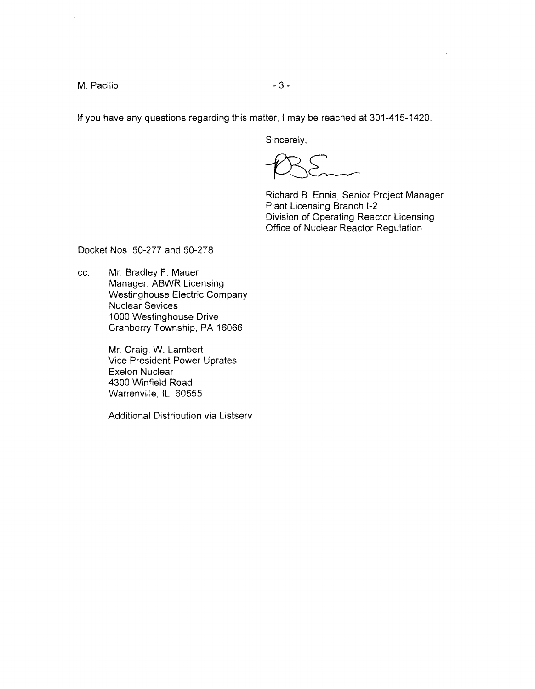M. Pacilio - 3 - 3 -

If you have any questions regarding this matter, I may be reached at 301-415-1420.

Sincerely,

Richard B. Ennis, Senior Project Manager Plant Licensing Branch 1-2 Division of Operating Reactor Licensing Office of Nuclear Reactor Regulation

Docket Nos. 50-277 and 50-278

cc: Mr. Bradley F. Mauer Manager, ABWR Licensing Westinghouse Electric Company Nuclear Sevices 1000 Westinghouse Drive Cranberry Township, PA 16066

> Mr. Craig. W. Lambert Vice President Power Uprates Exelon Nuclear 4300 Winfield Road Warrenville, IL 60555

Additional Distribution via Listserv